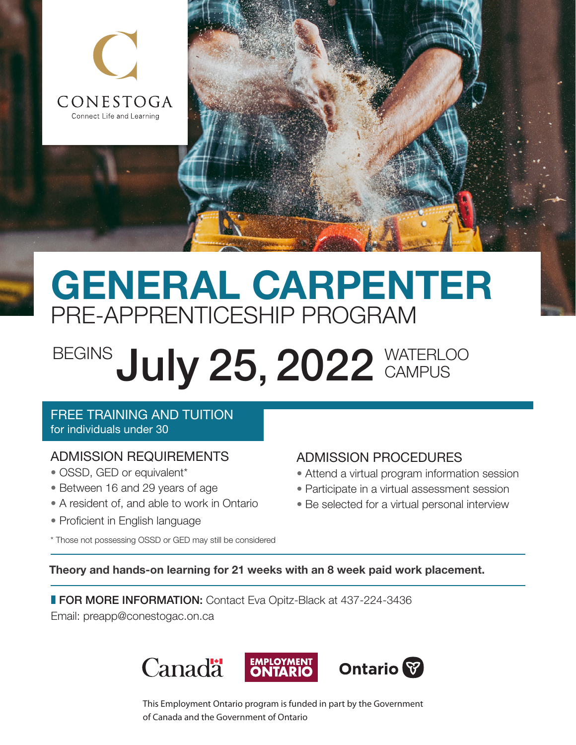

# GENERAL CARPENTER PRE-APPRENTICESHIP PROGRAM

# BEGINS July 25, 2022 WATERLOO **CAMPUS**

#### FREE TRAINING AND TUITION for individuals under 30

# ADMISSION REQUIREMENTS

- OSSD, GED or equivalent\*
- Between 16 and 29 years of age
- A resident of, and able to work in Ontario
- Proficient in English language

## ADMISSION PROCEDURES

- Attend a virtual program information session
- Participate in a virtual assessment session
- Be selected for a virtual personal interview

\* Those not possessing OSSD or GED may still be considered

### Theory and hands-on learning for 21 weeks with an 8 week paid work placement.

**FOR MORE INFORMATION:** Contact Eva Opitz-Black at 437-224-3436 Email: [preapp@conestogac.on.ca](mailto:preapp%40conestogac.on.ca?subject=)



This Employment Ontario program is funded in part by the Government of Canada and the Government of Ontario